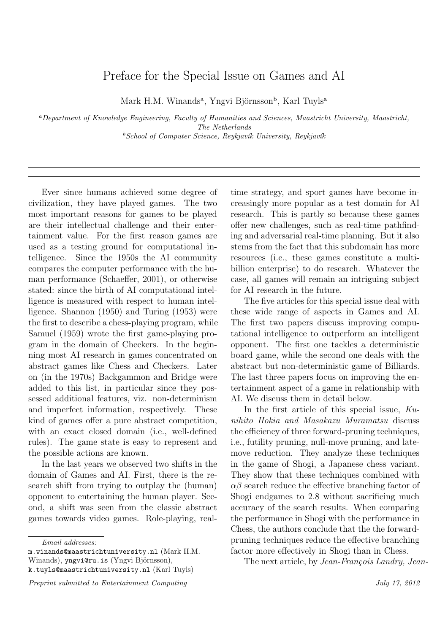## Preface for the Special Issue on Games and AI

Mark H.M. Winands<sup>a</sup>, Yngvi Björnsson<sup>b</sup>, Karl Tuyls<sup>a</sup>

<sup>a</sup>Department of Knowledge Engineering, Faculty of Humanities and Sciences, Maastricht University, Maastricht, The Netherlands  $b$ School of Computer Science, Reykjavík University, Reykjavík

Ever since humans achieved some degree of civilization, they have played games. The two most important reasons for games to be played are their intellectual challenge and their entertainment value. For the first reason games are used as a testing ground for computational intelligence. Since the 1950s the AI community compares the computer performance with the human performance (Schaeffer, 2001), or otherwise stated: since the birth of AI computational intelligence is measured with respect to human intelligence. Shannon (1950) and Turing (1953) were the first to describe a chess-playing program, while Samuel (1959) wrote the first game-playing program in the domain of Checkers. In the beginning most AI research in games concentrated on abstract games like Chess and Checkers. Later on (in the 1970s) Backgammon and Bridge were added to this list, in particular since they possessed additional features, viz. non-determinism and imperfect information, respectively. These kind of games offer a pure abstract competition, with an exact closed domain (i.e., well-defined rules). The game state is easy to represent and the possible actions are known.

In the last years we observed two shifts in the domain of Games and AI. First, there is the research shift from trying to outplay the (human) opponent to entertaining the human player. Second, a shift was seen from the classic abstract games towards video games. Role-playing, real-

time strategy, and sport games have become increasingly more popular as a test domain for AI research. This is partly so because these games offer new challenges, such as real-time pathfinding and adversarial real-time planning. But it also stems from the fact that this subdomain has more resources (i.e., these games constitute a multibillion enterprise) to do research. Whatever the case, all games will remain an intriguing subject for AI research in the future.

The five articles for this special issue deal with these wide range of aspects in Games and AI. The first two papers discuss improving computational intelligence to outperform an intelligent opponent. The first one tackles a deterministic board game, while the second one deals with the abstract but non-deterministic game of Billiards. The last three papers focus on improving the entertainment aspect of a game in relationship with AI. We discuss them in detail below.

In the first article of this special issue, Kunihito Hokia and Masakazu Muramatsu discuss the efficiency of three forward-pruning techniques, i.e., futility pruning, null-move pruning, and latemove reduction. They analyze these techniques in the game of Shogi, a Japanese chess variant. They show that these techniques combined with  $\alpha\beta$  search reduce the effective branching factor of Shogi endgames to 2.8 without sacrificing much accuracy of the search results. When comparing the performance in Shogi with the performance in Chess, the authors conclude that the the forwardpruning techniques reduce the effective branching factor more effectively in Shogi than in Chess.

The next article, by *Jean-François Landry*, *Jean-*

Email addresses:

m.winands@maastrichtuniversity.nl (Mark H.M. Winands), yngvi@ru.is (Yngvi Björnsson),

k.tuyls@maastrichtuniversity.nl (Karl Tuyls)